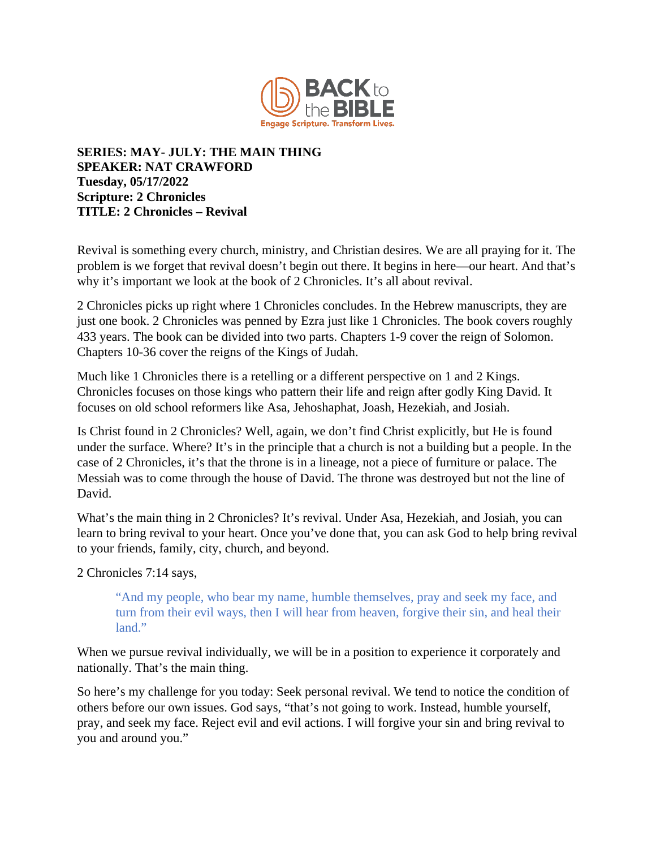

## **SERIES: MAY- JULY: THE MAIN THING SPEAKER: NAT CRAWFORD Tuesday, 05/17/2022 Scripture: 2 Chronicles TITLE: 2 Chronicles – Revival**

Revival is something every church, ministry, and Christian desires. We are all praying for it. The problem is we forget that revival doesn't begin out there. It begins in here—our heart. And that's why it's important we look at the book of 2 Chronicles. It's all about revival.

2 Chronicles picks up right where 1 Chronicles concludes. In the Hebrew manuscripts, they are just one book. 2 Chronicles was penned by Ezra just like 1 Chronicles. The book covers roughly 433 years. The book can be divided into two parts. Chapters 1-9 cover the reign of Solomon. Chapters 10-36 cover the reigns of the Kings of Judah.

Much like 1 Chronicles there is a retelling or a different perspective on 1 and 2 Kings. Chronicles focuses on those kings who pattern their life and reign after godly King David. It focuses on old school reformers like Asa, Jehoshaphat, Joash, Hezekiah, and Josiah.

Is Christ found in 2 Chronicles? Well, again, we don't find Christ explicitly, but He is found under the surface. Where? It's in the principle that a church is not a building but a people. In the case of 2 Chronicles, it's that the throne is in a lineage, not a piece of furniture or palace. The Messiah was to come through the house of David. The throne was destroyed but not the line of David.

What's the main thing in 2 Chronicles? It's revival. Under Asa, Hezekiah, and Josiah, you can learn to bring revival to your heart. Once you've done that, you can ask God to help bring revival to your friends, family, city, church, and beyond.

2 Chronicles 7:14 says,

"And my people, who bear my name, humble themselves, pray and seek my face, and turn from their evil ways, then I will hear from heaven, forgive their sin, and heal their land."

When we pursue revival individually, we will be in a position to experience it corporately and nationally. That's the main thing.

So here's my challenge for you today: Seek personal revival. We tend to notice the condition of others before our own issues. God says, "that's not going to work. Instead, humble yourself, pray, and seek my face. Reject evil and evil actions. I will forgive your sin and bring revival to you and around you."